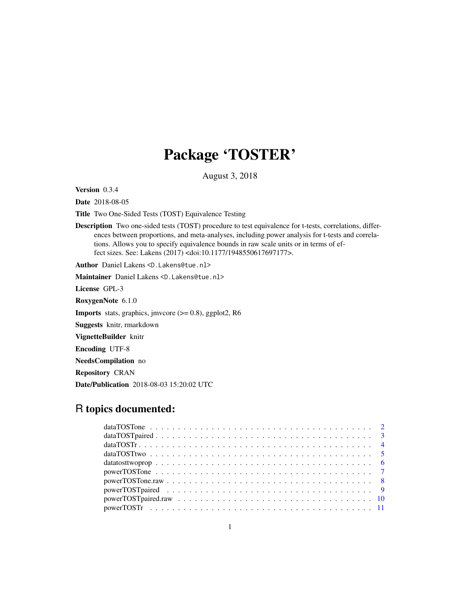# Package 'TOSTER'

August 3, 2018

<span id="page-0-0"></span>Version 0.3.4

Date 2018-08-05

Title Two One-Sided Tests (TOST) Equivalence Testing

Description Two one-sided tests (TOST) procedure to test equivalence for t-tests, correlations, differences between proportions, and meta-analyses, including power analysis for t-tests and correlations. Allows you to specify equivalence bounds in raw scale units or in terms of effect sizes. See: Lakens (2017) <doi:10.1177/1948550617697177>.

Author Daniel Lakens <D.Lakens@tue.nl>

Maintainer Daniel Lakens <D.Lakens@tue.nl>

License GPL-3

RoxygenNote 6.1.0

Imports stats, graphics, jmvcore (>= 0.8), ggplot2, R6

Suggests knitr, rmarkdown

VignetteBuilder knitr

Encoding UTF-8

NeedsCompilation no

Repository CRAN

Date/Publication 2018-08-03 15:20:02 UTC

# R topics documented:

| data TOST $r_1, \ldots, r_n, \ldots, r_n, \ldots, r_n, \ldots, r_n, \ldots, r_n, \ldots, r_n, \ldots, r_n$ |  |  |  |  |  |  |  |  |  |  |  |  |  |  |  |  |  |  |
|------------------------------------------------------------------------------------------------------------|--|--|--|--|--|--|--|--|--|--|--|--|--|--|--|--|--|--|
|                                                                                                            |  |  |  |  |  |  |  |  |  |  |  |  |  |  |  |  |  |  |
|                                                                                                            |  |  |  |  |  |  |  |  |  |  |  |  |  |  |  |  |  |  |
|                                                                                                            |  |  |  |  |  |  |  |  |  |  |  |  |  |  |  |  |  |  |
|                                                                                                            |  |  |  |  |  |  |  |  |  |  |  |  |  |  |  |  |  |  |
|                                                                                                            |  |  |  |  |  |  |  |  |  |  |  |  |  |  |  |  |  |  |
|                                                                                                            |  |  |  |  |  |  |  |  |  |  |  |  |  |  |  |  |  |  |
|                                                                                                            |  |  |  |  |  |  |  |  |  |  |  |  |  |  |  |  |  |  |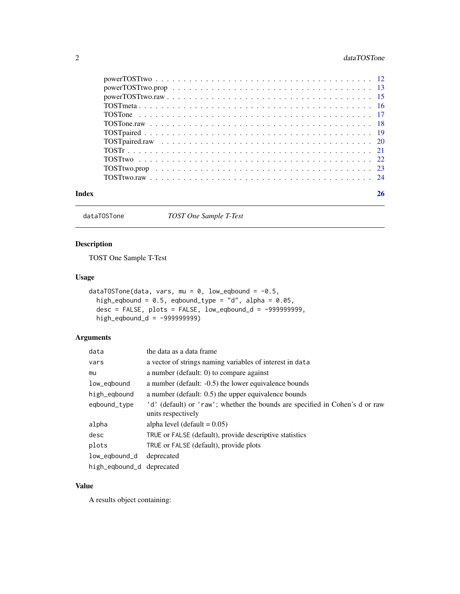# <span id="page-1-0"></span>2 dataTOSTone

dataTOSTone *TOST One Sample T-Test*

# Description

TOST One Sample T-Test

# Usage

```
dataTOSTone(data, vars, mu = 0, low_eqbound = -0.5,
 high_eqbound = 0.5, eqbound_type = "d", alpha = 0.05,
 desc = FALSE, plots = FALSE, low_eqbound_d = -999999999,
 high_eqbound_d = -9999999999
```
# Arguments

| data                      | the data as a data frame                                                     |
|---------------------------|------------------------------------------------------------------------------|
| vars                      | a vector of strings naming variables of interest in data                     |
| mu                        | a number (default: $0$ ) to compare against                                  |
| low_eqbound               | a number (default: -0.5) the lower equivalence bounds                        |
| high_egbound              | a number (default: 0.5) the upper equivalence bounds                         |
| eqbound_type              | 'd' (default) or 'raw'; whether the bounds are specified in Cohen's d or raw |
|                           | units respectively                                                           |
| alpha                     | alpha level (default $= 0.05$ )                                              |
| desc                      | TRUE or FALSE (default), provide descriptive statistics                      |
| plots                     | TRUE or FALSE (default), provide plots                                       |
| low_egbound_d             | deprecated                                                                   |
| high_eqbound_d deprecated |                                                                              |

# Value

A results object containing: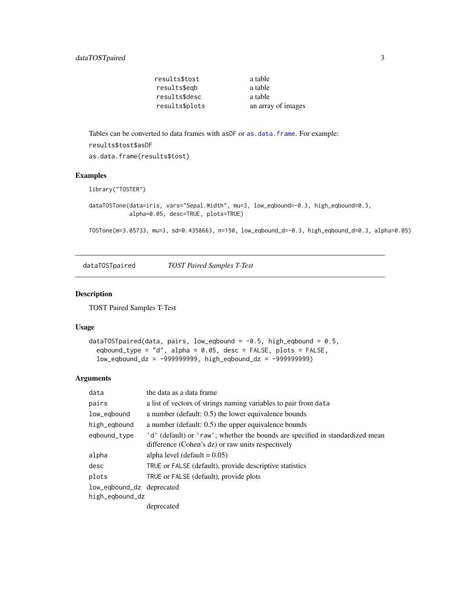| results\$tost  | a table            |
|----------------|--------------------|
| results\$egb   | a table            |
| results\$desc  | a table            |
| results\$plots | an array of images |
|                |                    |

<span id="page-2-0"></span>Tables can be converted to data frames with asDF or [as.data.frame](#page-0-0). For example: results\$tost\$asDF as.data.frame(results\$tost)

#### Examples

```
library("TOSTER")
```
dataTOSTone(data=iris, vars="Sepal.Width", mu=3, low\_eqbound=-0.3, high\_eqbound=0.3, alpha=0.05, desc=TRUE, plots=TRUE)

TOSTone(m=3.05733, mu=3, sd=0.4358663, n=150, low\_eqbound\_d=-0.3, high\_eqbound\_d=0.3, alpha=0.05)

dataTOSTpaired *TOST Paired Samples T-Test*

#### Description

TOST Paired Samples T-Test

#### Usage

```
dataTOSTpaired(data, pairs, low_eqbound = -0.5, high_eqbound = 0.5,
  eqbound_type = "d", alpha = 0.05, desc = FALSE, plots = FALSE,
  low_eqbound_dz = -999999999, high_eqbound_dz = -999999999)
```

| data                      | the data as a data frame                                                                                                           |
|---------------------------|------------------------------------------------------------------------------------------------------------------------------------|
| pairs                     | a list of vectors of strings naming variables to pair from data                                                                    |
| low_eqbound               | a number (default: 0.5) the lower equivalence bounds                                                                               |
| high_egbound              | a number (default: 0.5) the upper equivalence bounds                                                                               |
| eqbound_type              | 'd' (default) or 'raw'; whether the bounds are specified in standardized mean<br>difference (Cohen's dz) or raw units respectively |
| alpha                     | alpha level (default $= 0.05$ )                                                                                                    |
| desc                      | TRUE or FALSE (default), provide descriptive statistics                                                                            |
| plots                     | TRUE or FALSE (default), provide plots                                                                                             |
| low_eqbound_dz deprecated |                                                                                                                                    |
| high_eqbound_dz           |                                                                                                                                    |
|                           | deprecated                                                                                                                         |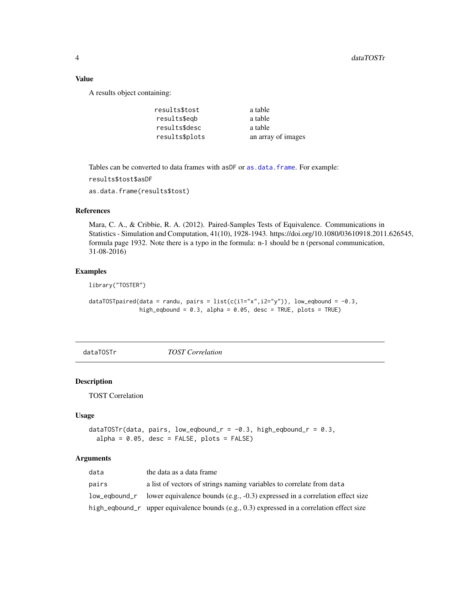# Value

A results object containing:

| results\$tost  | a table            |
|----------------|--------------------|
| results\$egb   | a table            |
| results\$desc  | a table            |
| results\$plots | an array of images |

Tables can be converted to data frames with asDF or [as.data.frame](#page-0-0). For example:

```
results$tost$asDF
```
as.data.frame(results\$tost)

# References

Mara, C. A., & Cribbie, R. A. (2012). Paired-Samples Tests of Equivalence. Communications in Statistics - Simulation and Computation, 41(10), 1928-1943. https://doi.org/10.1080/03610918.2011.626545, formula page 1932. Note there is a typo in the formula: n-1 should be n (personal communication, 31-08-2016)

# Examples

library("TOSTER")

```
dataTOSTpaired(data = randu, pairs = list(c(i1="x", i2="y")), low_eqbound = -0.3,
               high_eqbound = 0.3, alpha = 0.05, desc = TRUE, plots = TRUE)
```
dataTOSTr *TOST Correlation*

#### Description

TOST Correlation

#### Usage

```
dataTOSTr(data, pairs, low_eqbound_r = -0.3, high_eqbound_r = 0.3,alpha = 0.05, desc = FALSE, plots = FALSE)
```

| data  | the data as a data frame                                                                         |
|-------|--------------------------------------------------------------------------------------------------|
| pairs | a list of vectors of strings naming variables to correlate from data                             |
|       | $low\_eqbound_r$ lower equivalence bounds (e.g., $-0.3$ ) expressed in a correlation effect size |
|       | high_eqbound_r upper equivalence bounds (e.g., $(0.3)$ ) expressed in a correlation effect size  |

<span id="page-3-0"></span>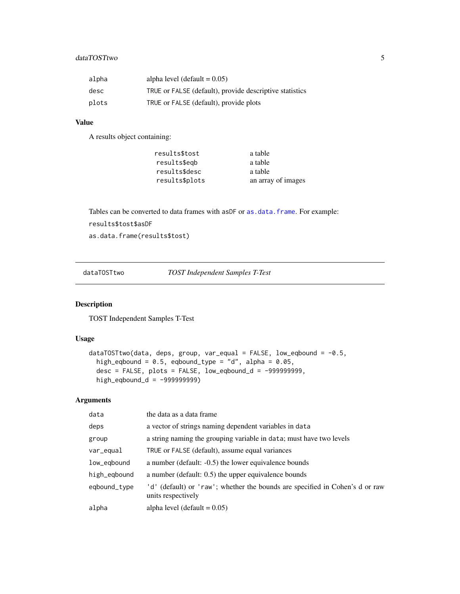# <span id="page-4-0"></span>dataTOSTtwo 5

| alpha | alpha level (default $= 0.05$ )                         |
|-------|---------------------------------------------------------|
| desc  | TRUE or FALSE (default), provide descriptive statistics |
| plots | TRUE or FALSE (default), provide plots                  |

#### Value

A results object containing:

| results\$tost  | a table            |
|----------------|--------------------|
| results\$egb   | a table            |
| results\$desc  | a table            |
| results\$plots | an array of images |

Tables can be converted to data frames with asDF or [as.data.frame](#page-0-0). For example:

results\$tost\$asDF

```
as.data.frame(results$tost)
```
dataTOSTtwo *TOST Independent Samples T-Test*

# Description

TOST Independent Samples T-Test

# Usage

```
dataTOSTtwo(data, deps, group, var_equal = FALSE, low_eqbound = -0.5,
 high_eqbound = 0.5, eqbound_type = "d", alpha = 0.05,
  desc = FALSE, plots = FALSE, low_eqbound_d = -999999999,
 high_eqbound_d = -999999999)
```

| data         | the data as a data frame                                                                           |
|--------------|----------------------------------------------------------------------------------------------------|
| deps         | a vector of strings naming dependent variables in data                                             |
| group        | a string naming the grouping variable in data; must have two levels                                |
| var_equal    | TRUE or FALSE (default), assume equal variances                                                    |
| low_eqbound  | a number (default: -0.5) the lower equivalence bounds                                              |
| high_egbound | a number (default: 0.5) the upper equivalence bounds                                               |
| eqbound_type | 'd' (default) or 'raw'; whether the bounds are specified in Cohen's d or raw<br>units respectively |
| alpha        | alpha level (default $= 0.05$ )                                                                    |
|              |                                                                                                    |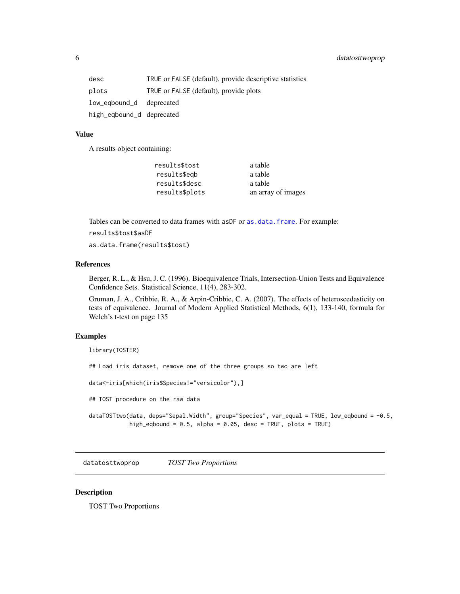<span id="page-5-0"></span>

| desc                      | TRUE or FALSE (default), provide descriptive statistics |
|---------------------------|---------------------------------------------------------|
| plots                     | TRUE or FALSE (default), provide plots                  |
| low_eqbound_d deprecated  |                                                         |
| high_eqbound_d deprecated |                                                         |

#### Value

A results object containing:

| results\$tost  | a table            |
|----------------|--------------------|
| results\$egb   | a table            |
| results\$desc  | a table            |
| results\$plots | an array of images |

Tables can be converted to data frames with asDF or [as.data.frame](#page-0-0). For example:

results\$tost\$asDF

as.data.frame(results\$tost)

# References

Berger, R. L., & Hsu, J. C. (1996). Bioequivalence Trials, Intersection-Union Tests and Equivalence Confidence Sets. Statistical Science, 11(4), 283-302.

Gruman, J. A., Cribbie, R. A., & Arpin-Cribbie, C. A. (2007). The effects of heteroscedasticity on tests of equivalence. Journal of Modern Applied Statistical Methods, 6(1), 133-140, formula for Welch's t-test on page 135

# Examples

library(TOSTER)

## Load iris dataset, remove one of the three groups so two are left

data<-iris[which(iris\$Species!="versicolor"),]

## TOST procedure on the raw data

dataTOSTtwo(data, deps="Sepal.Width", group="Species", var\_equal = TRUE, low\_eqbound = -0.5, high\_eqbound = 0.5, alpha = 0.05, desc = TRUE, plots = TRUE)

datatosttwoprop *TOST Two Proportions*

# Description

TOST Two Proportions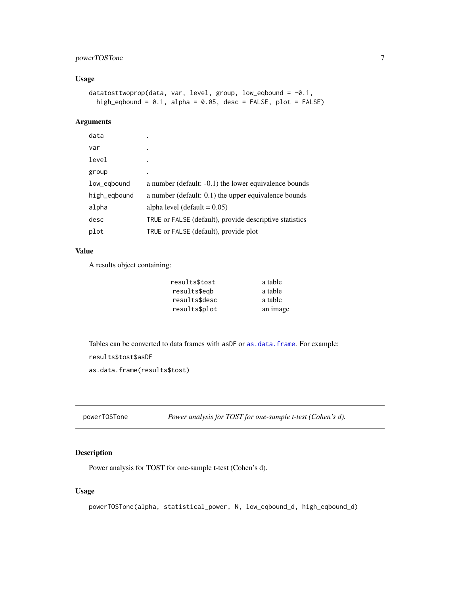# <span id="page-6-0"></span>powerTOSTone 7

# Usage

```
datatosttwoprop(data, var, level, group, low_eqbound = -0.1,
 high_eqbound = 0.1, alpha = 0.05, desc = FALSE, plot = FALSE)
```
# Arguments

| data         |                                                         |
|--------------|---------------------------------------------------------|
| var          | ٠                                                       |
| level        |                                                         |
| group        | ٠                                                       |
| low_egbound  | a number (default: -0.1) the lower equivalence bounds   |
| high_eqbound | a number (default: 0.1) the upper equivalence bounds    |
| alpha        | alpha level (default = $0.05$ )                         |
| desc         | TRUE or FALSE (default), provide descriptive statistics |
| plot         | TRUE or FALSE (default), provide plot                   |

# Value

A results object containing:

| results\$tost | a table  |
|---------------|----------|
| results\$egb  | a table  |
| results\$desc | a table  |
| results\$plot | an image |
|               |          |

Tables can be converted to data frames with asDF or [as.data.frame](#page-0-0). For example:

results\$tost\$asDF

as.data.frame(results\$tost)

powerTOSTone *Power analysis for TOST for one-sample t-test (Cohen's d).*

# Description

Power analysis for TOST for one-sample t-test (Cohen's d).

# Usage

powerTOSTone(alpha, statistical\_power, N, low\_eqbound\_d, high\_eqbound\_d)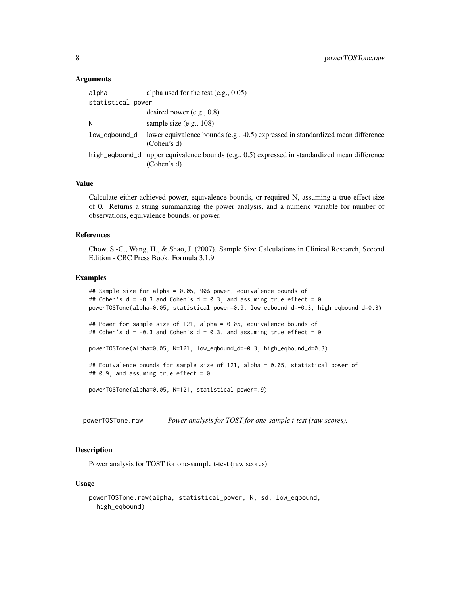#### <span id="page-7-0"></span>Arguments

| alpha             | alpha used for the test $(e.g., 0.05)$                                                                       |
|-------------------|--------------------------------------------------------------------------------------------------------------|
| statistical_power |                                                                                                              |
|                   | desired power $(e.g., 0.8)$                                                                                  |
| Ν                 | sample size $(e.g., 108)$                                                                                    |
| low_eqbound_d     | lower equivalence bounds (e.g., -0.5) expressed in standardized mean difference<br>(Cohen's d)               |
|                   | high_eqbound_d upper equivalence bounds (e.g., 0.5) expressed in standardized mean difference<br>(Cohen's d) |

#### Value

Calculate either achieved power, equivalence bounds, or required N, assuming a true effect size of 0. Returns a string summarizing the power analysis, and a numeric variable for number of observations, equivalence bounds, or power.

#### References

Chow, S.-C., Wang, H., & Shao, J. (2007). Sample Size Calculations in Clinical Research, Second Edition - CRC Press Book. Formula 3.1.9

# Examples

```
## Sample size for alpha = 0.05, 90% power, equivalence bounds of
## Cohen's d = -0.3 and Cohen's d = 0.3, and assuming true effect = 0
powerTOSTone(alpha=0.05, statistical_power=0.9, low_eqbound_d=-0.3, high_eqbound_d=0.3)
## Power for sample size of 121, alpha = 0.05, equivalence bounds of
## Cohen's d = -0.3 and Cohen's d = 0.3, and assuming true effect = 0
powerTOSTone(alpha=0.05, N=121, low_eqbound_d=-0.3, high_eqbound_d=0.3)
## Equivalence bounds for sample size of 121, alpha = 0.05, statistical power of
## 0.9, and assuming true effect = 0powerTOSTone(alpha=0.05, N=121, statistical_power=.9)
```
powerTOSTone.raw *Power analysis for TOST for one-sample t-test (raw scores).*

# Description

Power analysis for TOST for one-sample t-test (raw scores).

```
powerTOSTone.raw(alpha, statistical_power, N, sd, low_eqbound,
 high_eqbound)
```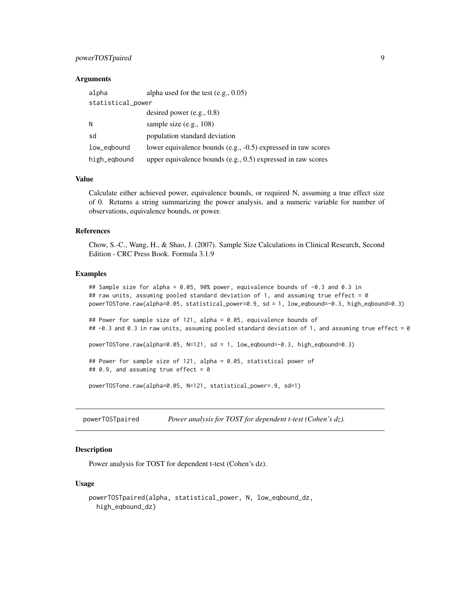# <span id="page-8-0"></span>powerTOSTpaired 9

#### **Arguments**

| alpha             | alpha used for the test $(e.g., 0.05)$                         |
|-------------------|----------------------------------------------------------------|
| statistical_power |                                                                |
|                   | desired power $(e.g., 0.8)$                                    |
| N                 | sample size $(e.g., 108)$                                      |
| sd                | population standard deviation                                  |
| low_eqbound       | lower equivalence bounds (e.g., -0.5) expressed in raw scores  |
| high_eqbound      | upper equivalence bounds $(e.g., 0.5)$ expressed in raw scores |

#### Value

Calculate either achieved power, equivalence bounds, or required N, assuming a true effect size of 0. Returns a string summarizing the power analysis, and a numeric variable for number of observations, equivalence bounds, or power.

#### References

Chow, S.-C., Wang, H., & Shao, J. (2007). Sample Size Calculations in Clinical Research, Second Edition - CRC Press Book. Formula 3.1.9

#### Examples

```
## Sample size for alpha = 0.05, 90% power, equivalence bounds of -0.3 and 0.3 in
## raw units, assuming pooled standard deviation of 1, and assuming true effect = 0powerTOSTone.raw(alpha=0.05, statistical_power=0.9, sd = 1, low_eqbound=-0.3, high_eqbound=0.3)
## Power for sample size of 121, alpha = 0.05, equivalence bounds of
## -0.3 and 0.3 in raw units, assuming pooled standard deviation of 1, and assuming true effect = 0
powerTOSTone.raw(alpha=0.05, N=121, sd = 1, low_eqbound=-0.3, high_eqbound=0.3)
## Power for sample size of 121, alpha = 0.05, statistical power of
## 0.9, and assuming true effect = 0powerTOSTone.raw(alpha=0.05, N=121, statistical_power=.9, sd=1)
```
powerTOSTpaired *Power analysis for TOST for dependent t-test (Cohen's dz).*

# Description

Power analysis for TOST for dependent t-test (Cohen's dz).

```
powerTOSTpaired(alpha, statistical_power, N, low_eqbound_dz,
 high_eqbound_dz)
```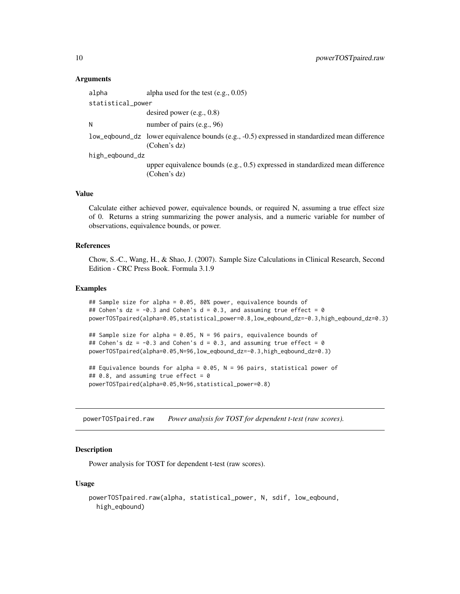#### Arguments

| alpha             | alpha used for the test $(e.g., 0.05)$                                                                         |
|-------------------|----------------------------------------------------------------------------------------------------------------|
| statistical_power |                                                                                                                |
|                   | desired power $(e.g., 0.8)$                                                                                    |
| Ν                 | number of pairs (e.g., 96)                                                                                     |
|                   | low_eqbound_dz lower equivalence bounds (e.g., -0.5) expressed in standardized mean difference<br>(Cohen's dz) |
| high_eqbound_dz   |                                                                                                                |
|                   | upper equivalence bounds (e.g., 0.5) expressed in standardized mean difference<br>(Cohen's dz)                 |

# Value

Calculate either achieved power, equivalence bounds, or required N, assuming a true effect size of 0. Returns a string summarizing the power analysis, and a numeric variable for number of observations, equivalence bounds, or power.

#### References

Chow, S.-C., Wang, H., & Shao, J. (2007). Sample Size Calculations in Clinical Research, Second Edition - CRC Press Book. Formula 3.1.9

#### Examples

```
## Sample size for alpha = 0.05, 80% power, equivalence bounds of
## Cohen's dz = -0.3 and Cohen's d = 0.3, and assuming true effect = 0
powerTOSTpaired(alpha=0.05,statistical_power=0.8,low_eqbound_dz=-0.3,high_eqbound_dz=0.3)
## Sample size for alpha = 0.05, N = 96 pairs, equivalence bounds of
## Cohen's dz = -0.3 and Cohen's d = 0.3, and assuming true effect = 0
powerTOSTpaired(alpha=0.05,N=96,low_eqbound_dz=-0.3,high_eqbound_dz=0.3)
## Equivalence bounds for alpha = 0.05, N = 96 pairs, statistical power of
## 0.8, and assuming true effect = 0powerTOSTpaired(alpha=0.05,N=96,statistical_power=0.8)
```
powerTOSTpaired.raw *Power analysis for TOST for dependent t-test (raw scores).*

# Description

Power analysis for TOST for dependent t-test (raw scores).

```
powerTOSTpaired.raw(alpha, statistical_power, N, sdif, low_eqbound,
 high_eqbound)
```
<span id="page-9-0"></span>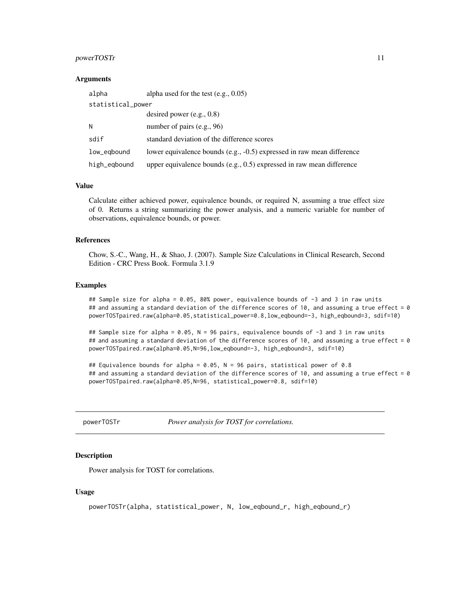#### <span id="page-10-0"></span>powerTOSTr 11

#### **Arguments**

| alpha        | alpha used for the test $(e.g., 0.05)$                                  |  |  |
|--------------|-------------------------------------------------------------------------|--|--|
|              | statistical_power                                                       |  |  |
|              | desired power $(e.g., 0.8)$                                             |  |  |
| N            | number of pairs $(e.g., 96)$                                            |  |  |
| sdif         | standard deviation of the difference scores                             |  |  |
| low_egbound  | lower equivalence bounds (e.g., -0.5) expressed in raw mean difference  |  |  |
| high_eqbound | upper equivalence bounds $(e.g., 0.5)$ expressed in raw mean difference |  |  |

#### Value

Calculate either achieved power, equivalence bounds, or required N, assuming a true effect size of 0. Returns a string summarizing the power analysis, and a numeric variable for number of observations, equivalence bounds, or power.

# References

Chow, S.-C., Wang, H., & Shao, J. (2007). Sample Size Calculations in Clinical Research, Second Edition - CRC Press Book. Formula 3.1.9

#### Examples

## Sample size for alpha = 0.05, 80% power, equivalence bounds of -3 and 3 in raw units ## and assuming a standard deviation of the difference scores of 10, and assuming a true effect =  $0$ powerTOSTpaired.raw(alpha=0.05,statistical\_power=0.8,low\_eqbound=-3, high\_eqbound=3, sdif=10)

## Sample size for alpha = 0.05, N = 96 pairs, equivalence bounds of -3 and 3 in raw units ## and assuming a standard deviation of the difference scores of 10, and assuming a true effect =  $0$ powerTOSTpaired.raw(alpha=0.05,N=96,low\_eqbound=-3, high\_eqbound=3, sdif=10)

## Equivalence bounds for alpha = 0.05, N = 96 pairs, statistical power of 0.8 ## and assuming a standard deviation of the difference scores of 10, and assuming a true effect =  $0$ powerTOSTpaired.raw(alpha=0.05,N=96, statistical\_power=0.8, sdif=10)

powerTOSTr *Power analysis for TOST for correlations.*

#### **Description**

Power analysis for TOST for correlations.

```
powerTOSTr(alpha, statistical_power, N, low_eqbound_r, high_eqbound_r)
```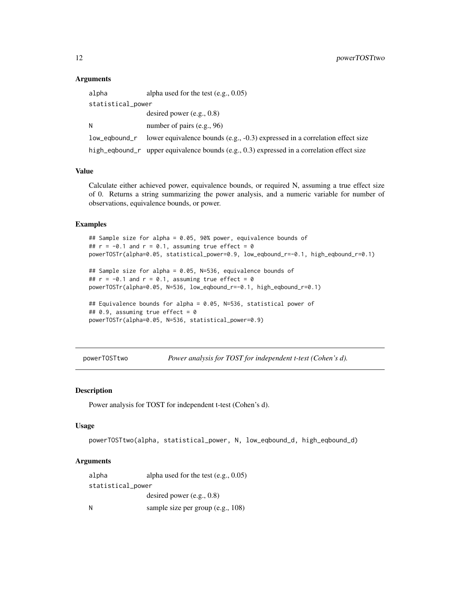### **Arguments**

| alpha             | alpha used for the test $(e.g., 0.05)$                                                     |  |
|-------------------|--------------------------------------------------------------------------------------------|--|
| statistical_power |                                                                                            |  |
|                   | desired power $(e.g., 0.8)$                                                                |  |
| N                 | number of pairs $(e.g., 96)$                                                               |  |
|                   | low_eqbound_r lower equivalence bounds (e.g., -0.3) expressed in a correlation effect size |  |
|                   | high_eqbound_r upper equivalence bounds (e.g., 0.3) expressed in a correlation effect size |  |

# Value

Calculate either achieved power, equivalence bounds, or required N, assuming a true effect size of 0. Returns a string summarizing the power analysis, and a numeric variable for number of observations, equivalence bounds, or power.

#### Examples

```
## Sample size for alpha = 0.05, 90% power, equivalence bounds of
## r = -0.1 and r = 0.1, assuming true effect = 0
powerTOSTr(alpha=0.05, statistical_power=0.9, low_eqbound_r=-0.1, high_eqbound_r=0.1)
## Sample size for alpha = 0.05, N=536, equivalence bounds of
## r = -0.1 and r = 0.1, assuming true effect = 0
powerTOSTr(alpha=0.05, N=536, low_eqbound_r=-0.1, high_eqbound_r=0.1)
## Equivalence bounds for alpha = 0.05, N=536, statistical power of
## 0.9, assuming true effect = 0powerTOSTr(alpha=0.05, N=536, statistical_power=0.9)
```
powerTOSTtwo *Power analysis for TOST for independent t-test (Cohen's d).*

#### Description

Power analysis for TOST for independent t-test (Cohen's d).

#### Usage

```
powerTOSTtwo(alpha, statistical_power, N, low_eqbound_d, high_eqbound_d)
```

| alpha             | alpha used for the test $(e.g., 0.05)$ |
|-------------------|----------------------------------------|
| statistical_power |                                        |
|                   | desired power $(e.g., 0.8)$            |
| N                 | sample size per group (e.g., 108)      |

<span id="page-11-0"></span>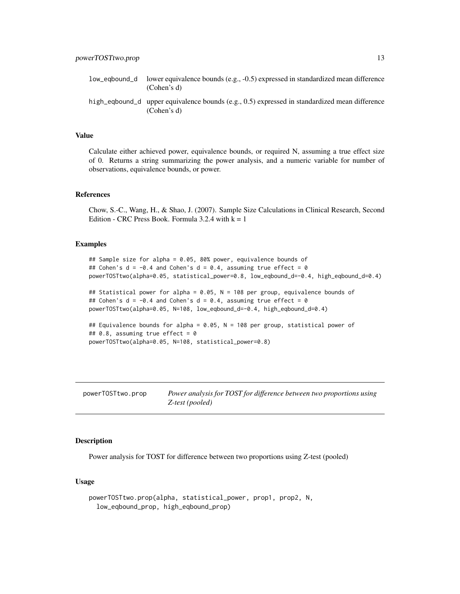# <span id="page-12-0"></span>Value

Calculate either achieved power, equivalence bounds, or required N, assuming a true effect size of 0. Returns a string summarizing the power analysis, and a numeric variable for number of observations, equivalence bounds, or power.

# References

Chow, S.-C., Wang, H., & Shao, J. (2007). Sample Size Calculations in Clinical Research, Second Edition - CRC Press Book. Formula 3.2.4 with  $k = 1$ 

#### Examples

```
## Sample size for alpha = 0.05, 80% power, equivalence bounds of
## Cohen's d = -0.4 and Cohen's d = 0.4, assuming true effect = 0
powerTOSTtwo(alpha=0.05, statistical_power=0.8, low_eqbound_d=-0.4, high_eqbound_d=0.4)
## Statistical power for alpha = 0.05, N = 108 per group, equivalence bounds of
## Cohen's d = -0.4 and Cohen's d = 0.4, assuming true effect = 0
powerTOSTtwo(alpha=0.05, N=108, low_eqbound_d=-0.4, high_eqbound_d=0.4)
```

```
## Equivalence bounds for alpha = 0.05, N = 108 per group, statistical power of
## 0.8, assuming true effect = 0
powerTOSTtwo(alpha=0.05, N=108, statistical_power=0.8)
```
powerTOSTtwo.prop *Power analysis for TOST for difference between two proportions using Z-test (pooled)*

# Description

Power analysis for TOST for difference between two proportions using Z-test (pooled)

```
powerTOSTtwo.prop(alpha, statistical_power, prop1, prop2, N,
  low_eqbound_prop, high_eqbound_prop)
```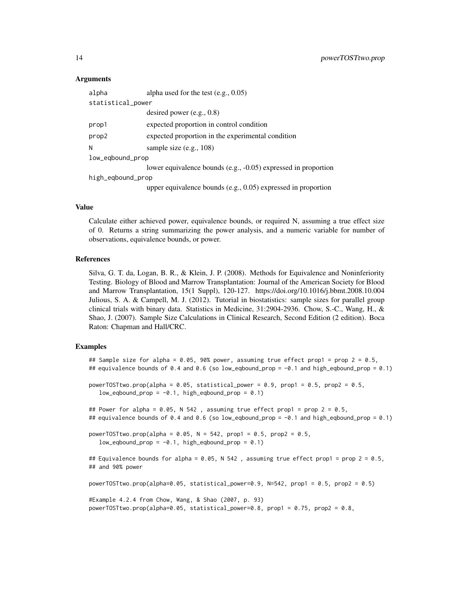#### Arguments

| alpha             | alpha used for the test $(e.g., 0.05)$                           |
|-------------------|------------------------------------------------------------------|
| statistical_power |                                                                  |
|                   | desired power $(e.g., 0.8)$                                      |
| prop1             | expected proportion in control condition                         |
| prop2             | expected proportion in the experimental condition                |
| N                 | sample size $(e.g., 108)$                                        |
| low_eqbound_prop  |                                                                  |
|                   | lower equivalence bounds (e.g., -0.05) expressed in proportion   |
| high_eqbound_prop |                                                                  |
|                   | upper equivalence bounds (e.g., $0.05$ ) expressed in proportion |

#### Value

Calculate either achieved power, equivalence bounds, or required N, assuming a true effect size of 0. Returns a string summarizing the power analysis, and a numeric variable for number of observations, equivalence bounds, or power.

#### References

Silva, G. T. da, Logan, B. R., & Klein, J. P. (2008). Methods for Equivalence and Noninferiority Testing. Biology of Blood and Marrow Transplantation: Journal of the American Society for Blood and Marrow Transplantation, 15(1 Suppl), 120-127. https://doi.org/10.1016/j.bbmt.2008.10.004 Julious, S. A. & Campell, M. J. (2012). Tutorial in biostatistics: sample sizes for parallel group clinical trials with binary data. Statistics in Medicine, 31:2904-2936. Chow, S.-C., Wang, H., & Shao, J. (2007). Sample Size Calculations in Clinical Research, Second Edition (2 edition). Boca Raton: Chapman and Hall/CRC.

#### Examples

## Sample size for alpha = 0.05, 90% power, assuming true effect prop1 = prop 2 = 0.5, ## equivalence bounds of 0.4 and 0.6 (so low\_eqbound\_prop = -0.1 and high\_eqbound\_prop = 0.1) powerTOSTtwo.prop(alpha =  $0.05$ , statistical\_power =  $0.9$ , prop1 =  $0.5$ , prop2 =  $0.5$ ,  $low\_eqbound\_prop = -0.1$ , high\_eqbound\_prop = 0.1) ## Power for alpha =  $0.05$ , N 542, assuming true effect prop1 = prop 2 =  $0.5$ , ## equivalence bounds of 0.4 and 0.6 (so low\_eqbound\_prop = -0.1 and high\_eqbound\_prop = 0.1)  $powerTOSTtwo.pop(alpha = 0.05, N = 542, prop1 = 0.5, prop2 = 0.5,$  $low\_eqbound\_prop = -0.1$ ,  $high\_eqbound\_prop = 0.1$ ## Equivalence bounds for alpha = 0.05, N 542, assuming true effect prop1 = prop 2 = 0.5, ## and 90% power powerTOSTtwo.prop(alpha=0.05, statistical\_power=0.9, N=542, prop1 = 0.5, prop2 = 0.5) #Example 4.2.4 from Chow, Wang, & Shao (2007, p. 93)

powerTOSTtwo.prop(alpha=0.05, statistical\_power=0.8, prop1 = 0.75, prop2 = 0.8,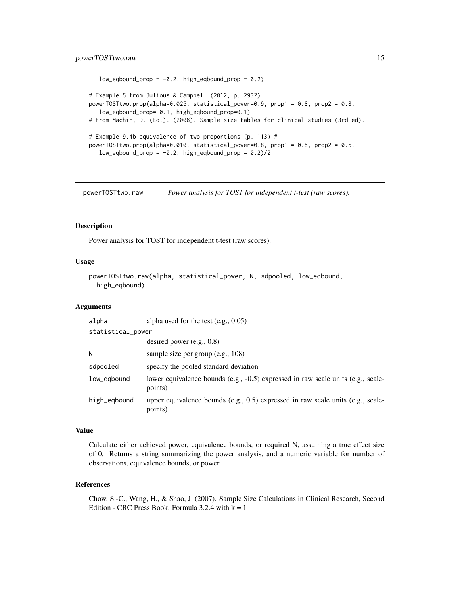# <span id="page-14-0"></span>powerTOSTtwo.raw 15

```
low\_eqbound\_prop = -0.2, high\_eqbound\_prop = 0.2# Example 5 from Julious & Campbell (2012, p. 2932)
powerTOSTtwo.prop(alpha=0.025, statistical_power=0.9, prop1 = 0.8, prop2 = 0.8,
  low_eqbound_prop=-0.1, high_eqbound_prop=0.1)
# From Machin, D. (Ed.). (2008). Sample size tables for clinical studies (3rd ed).
# Example 9.4b equivalence of two proportions (p. 113) #
powerTOSTtwo.prop(alpha=0.010, statistical_power=0.8, prop1 = 0.5, prop2 = 0.5,
  low_eqbound\_prop = -0.2, high_eqbound\_prop = 0.2/2
```
powerTOSTtwo.raw *Power analysis for TOST for independent t-test (raw scores).*

#### Description

Power analysis for TOST for independent t-test (raw scores).

#### Usage

```
powerTOSTtwo.raw(alpha, statistical_power, N, sdpooled, low_eqbound,
 high_eqbound)
```
#### Arguments

| alpha             | alpha used for the test $(e.g., 0.05)$                                                      |  |
|-------------------|---------------------------------------------------------------------------------------------|--|
| statistical_power |                                                                                             |  |
|                   | desired power $(e.g., 0.8)$                                                                 |  |
| N                 | sample size per group (e.g., 108)                                                           |  |
| sdpooled          | specify the pooled standard deviation                                                       |  |
| low_eqbound       | lower equivalence bounds (e.g., -0.5) expressed in raw scale units (e.g., scale-<br>points) |  |
| high_eqbound      | upper equivalence bounds (e.g., 0.5) expressed in raw scale units (e.g., scale-<br>points)  |  |

#### Value

Calculate either achieved power, equivalence bounds, or required N, assuming a true effect size of 0. Returns a string summarizing the power analysis, and a numeric variable for number of observations, equivalence bounds, or power.

# References

Chow, S.-C., Wang, H., & Shao, J. (2007). Sample Size Calculations in Clinical Research, Second Edition - CRC Press Book. Formula 3.2.4 with  $k = 1$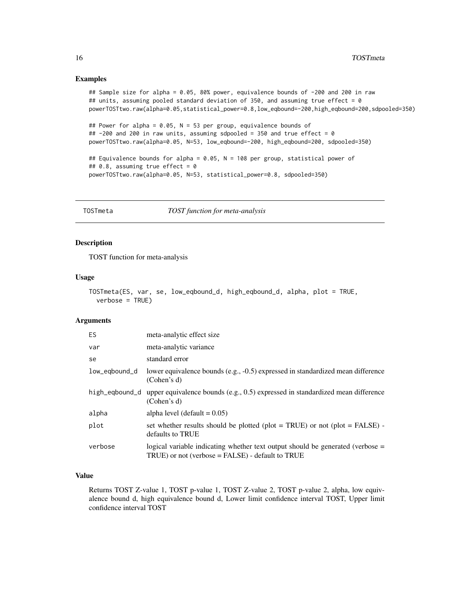# <span id="page-15-0"></span>Examples

```
## Sample size for alpha = 0.05, 80% power, equivalence bounds of -200 and 200 in raw
## units, assuming pooled standard deviation of 350, and assuming true effect = 0
powerTOSTtwo.raw(alpha=0.05,statistical_power=0.8,low_eqbound=-200,high_eqbound=200,sdpooled=350)
## Power for alpha = 0.05, N = 53 per group, equivalence bounds of
## -200 and 200 in raw units, assuming sdpooled = 350 and true effect = 0
powerTOSTtwo.raw(alpha=0.05, N=53, low_eqbound=-200, high_eqbound=200, sdpooled=350)
## Equivalence bounds for alpha = 0.05, N = 108 per group, statistical power of
## 0.8, assuming true effect = 0
powerTOSTtwo.raw(alpha=0.05, N=53, statistical_power=0.8, sdpooled=350)
```
TOSTmeta *TOST function for meta-analysis*

# Description

TOST function for meta-analysis

#### Usage

```
TOSTmeta(ES, var, se, low_eqbound_d, high_eqbound_d, alpha, plot = TRUE,
  verbose = TRUE)
```
#### Arguments

| <b>ES</b>      | meta-analytic effect size                                                                                                               |
|----------------|-----------------------------------------------------------------------------------------------------------------------------------------|
| var            | meta-analytic variance                                                                                                                  |
| se             | standard error                                                                                                                          |
| low_egbound_d  | lower equivalence bounds (e.g., -0.5) expressed in standardized mean difference<br>(Cohen's d)                                          |
| high_eqbound_d | upper equivalence bounds (e.g., $0.5$ ) expressed in standardized mean difference<br>(Cohen's d)                                        |
| alpha          | alpha level (default $= 0.05$ )                                                                                                         |
| plot           | set whether results should be plotted (plot = TRUE) or not (plot = FALSE) -<br>defaults to TRUE                                         |
| verbose        | logical variable indicating whether text output should be generated (verbose $=$<br>$TRUE$ ) or not (verbose = FALSE) - default to TRUE |

# Value

Returns TOST Z-value 1, TOST p-value 1, TOST Z-value 2, TOST p-value 2, alpha, low equivalence bound d, high equivalence bound d, Lower limit confidence interval TOST, Upper limit confidence interval TOST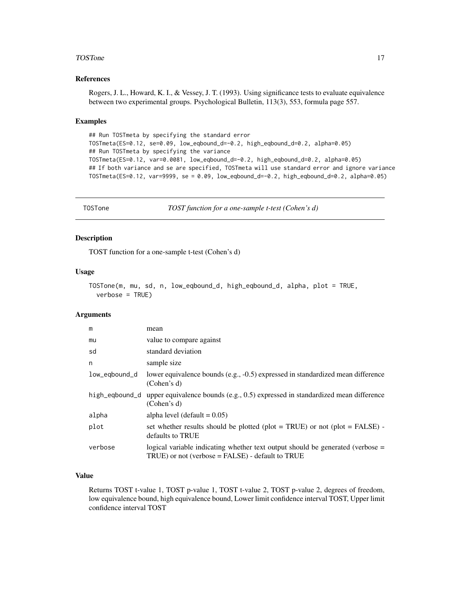#### <span id="page-16-0"></span>TOSTone 17

# References

Rogers, J. L., Howard, K. I., & Vessey, J. T. (1993). Using significance tests to evaluate equivalence between two experimental groups. Psychological Bulletin, 113(3), 553, formula page 557.

#### Examples

```
## Run TOSTmeta by specifying the standard error
TOSTmeta(ES=0.12, se=0.09, low_eqbound_d=-0.2, high_eqbound_d=0.2, alpha=0.05)
## Run TOSTmeta by specifying the variance
TOSTmeta(ES=0.12, var=0.0081, low_eqbound_d=-0.2, high_eqbound_d=0.2, alpha=0.05)
## If both variance and se are specified, TOSTmeta will use standard error and ignore variance
TOSTmeta(ES=0.12, var=9999, se = 0.09, low_eqbound_d=-0.2, high_eqbound_d=0.2, alpha=0.05)
```
TOSTone *TOST function for a one-sample t-test (Cohen's d)*

#### Description

TOST function for a one-sample t-test (Cohen's d)

# Usage

```
TOSTone(m, mu, sd, n, low_eqbound_d, high_eqbound_d, alpha, plot = TRUE,
  verbose = TRUE)
```
#### **Arguments**

| m              | mean                                                                                                                                    |
|----------------|-----------------------------------------------------------------------------------------------------------------------------------------|
| mu             | value to compare against                                                                                                                |
| sd             | standard deviation                                                                                                                      |
| n              | sample size                                                                                                                             |
| low_eqbound_d  | lower equivalence bounds (e.g., -0.5) expressed in standardized mean difference<br>(Cohen's d)                                          |
| high_egbound_d | upper equivalence bounds (e.g., $0.5$ ) expressed in standardized mean difference<br>(Cohen's d)                                        |
| alpha          | alpha level (default $= 0.05$ )                                                                                                         |
| plot           | set whether results should be plotted (plot = TRUE) or not (plot = FALSE) -<br>defaults to TRUE                                         |
| verbose        | logical variable indicating whether text output should be generated (verbose $=$<br>$TRUE$ ) or not (verbose = FALSE) - default to TRUE |

# Value

Returns TOST t-value 1, TOST p-value 1, TOST t-value 2, TOST p-value 2, degrees of freedom, low equivalence bound, high equivalence bound, Lower limit confidence interval TOST, Upper limit confidence interval TOST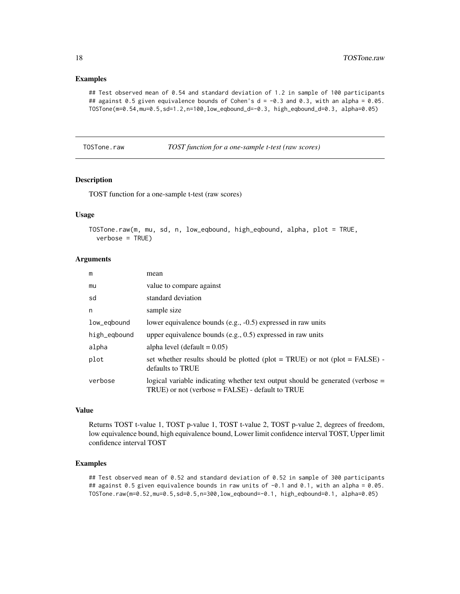### Examples

```
## Test observed mean of 0.54 and standard deviation of 1.2 in sample of 100 participants
## against 0.5 given equivalence bounds of Cohen's d = -0.3 and 0.3, with an alpha = 0.05.
TOSTone(m=0.54,mu=0.5,sd=1.2,n=100,low_eqbound_d=-0.3, high_eqbound_d=0.3, alpha=0.05)
```
TOSTone.raw *TOST function for a one-sample t-test (raw scores)*

## Description

TOST function for a one-sample t-test (raw scores)

# Usage

```
TOSTone.raw(m, mu, sd, n, low_eqbound, high_eqbound, alpha, plot = TRUE,
  verbase = TRUE)
```
# Arguments

| m            | mean                                                                                                                                  |
|--------------|---------------------------------------------------------------------------------------------------------------------------------------|
| mu           | value to compare against                                                                                                              |
| sd           | standard deviation                                                                                                                    |
| n            | sample size                                                                                                                           |
| low_egbound  | lower equivalence bounds (e.g., -0.5) expressed in raw units                                                                          |
| high_eqbound | upper equivalence bounds (e.g., $0.5$ ) expressed in raw units                                                                        |
| alpha        | alpha level (default $= 0.05$ )                                                                                                       |
| plot         | set whether results should be plotted (plot = TRUE) or not (plot = FALSE) -<br>defaults to TRUE                                       |
| verbose      | logical variable indicating whether text output should be generated (verbose =<br>$TRUE$ ) or not (verbose = FALSE) - default to TRUE |

# Value

Returns TOST t-value 1, TOST p-value 1, TOST t-value 2, TOST p-value 2, degrees of freedom, low equivalence bound, high equivalence bound, Lower limit confidence interval TOST, Upper limit confidence interval TOST

#### Examples

## Test observed mean of 0.52 and standard deviation of 0.52 in sample of 300 participants ## against 0.5 given equivalence bounds in raw units of -0.1 and 0.1, with an alpha = 0.05. TOSTone.raw(m=0.52,mu=0.5,sd=0.5,n=300,low\_eqbound=-0.1, high\_eqbound=0.1, alpha=0.05)

<span id="page-17-0"></span>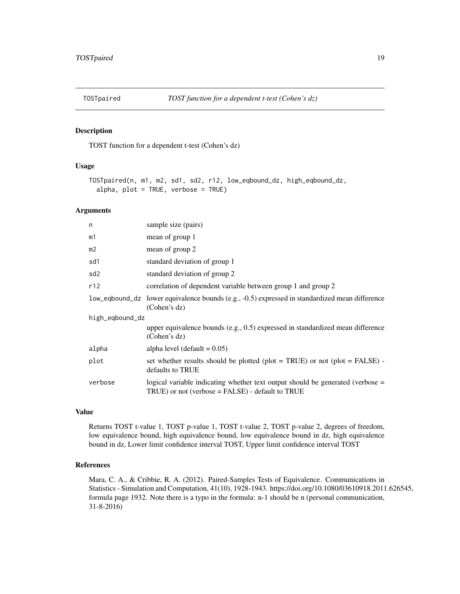<span id="page-18-0"></span>

#### Description

TOST function for a dependent t-test (Cohen's dz)

#### Usage

```
TOSTpaired(n, m1, m2, sd1, sd2, r12, low_eqbound_dz, high_eqbound_dz,
  alpha, plot = TRUE, verbose = TRUE)
```
# Arguments

| n               | sample size (pairs)                                                                                                                        |
|-----------------|--------------------------------------------------------------------------------------------------------------------------------------------|
| m1              | mean of group 1                                                                                                                            |
| m <sub>2</sub>  | mean of group 2                                                                                                                            |
| sd1             | standard deviation of group 1                                                                                                              |
| sd <sub>2</sub> | standard deviation of group 2                                                                                                              |
| r12             | correlation of dependent variable between group 1 and group 2                                                                              |
|                 | low_eqbound_dz lower equivalence bounds (e.g., -0.5) expressed in standardized mean difference<br>(Cohen's dz)                             |
| high_eqbound_dz |                                                                                                                                            |
|                 | upper equivalence bounds (e.g., $0.5$ ) expressed in standardized mean difference<br>(Cohen's dz)                                          |
| alpha           | alpha level (default $= 0.05$ )                                                                                                            |
| plot            | set whether results should be plotted (plot = TRUE) or not (plot = FALSE) -<br>defaults to TRUE                                            |
| verbose         | logical variable indicating whether text output should be generated (verbose $=$<br>$TRUE$ ) or not (verbose = $FALSE$ ) - default to TRUE |
|                 |                                                                                                                                            |

# Value

Returns TOST t-value 1, TOST p-value 1, TOST t-value 2, TOST p-value 2, degrees of freedom, low equivalence bound, high equivalence bound, low equivalence bound in dz, high equivalence bound in dz, Lower limit confidence interval TOST, Upper limit confidence interval TOST

#### References

Mara, C. A., & Cribbie, R. A. (2012). Paired-Samples Tests of Equivalence. Communications in Statistics - Simulation and Computation, 41(10), 1928-1943. https://doi.org/10.1080/03610918.2011.626545, formula page 1932. Note there is a typo in the formula: n-1 should be n (personal communication, 31-8-2016)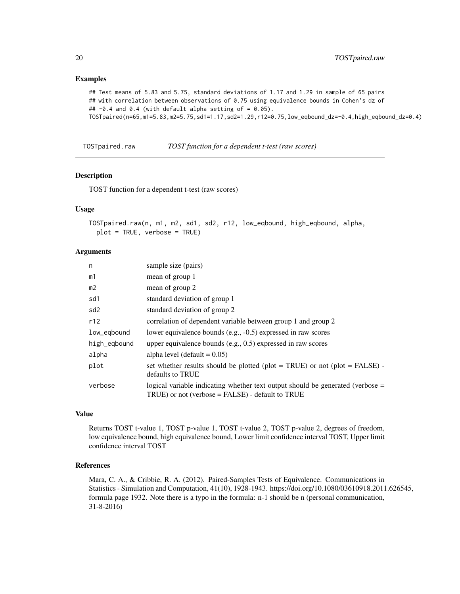# Examples

```
## Test means of 5.83 and 5.75, standard deviations of 1.17 and 1.29 in sample of 65 pairs
## with correlation between observations of 0.75 using equivalence bounds in Cohen's dz of
## -0.4 and 0.4 (with default alpha setting of = 0.05).
TOSTpaired(n=65,m1=5.83,m2=5.75,sd1=1.17,sd2=1.29,r12=0.75,low_eqbound_dz=-0.4,high_eqbound_dz=0.4)
```
TOSTpaired.raw *TOST function for a dependent t-test (raw scores)*

#### Description

TOST function for a dependent t-test (raw scores)

# Usage

```
TOSTpaired.raw(n, m1, m2, sd1, sd2, r12, low_eqbound, high_eqbound, alpha,
 plot = TRUE, verbose = TRUE)
```
# Arguments

| n               | sample size (pairs)                                                                                                                      |
|-----------------|------------------------------------------------------------------------------------------------------------------------------------------|
| m1              | mean of group 1                                                                                                                          |
| m2              | mean of group 2                                                                                                                          |
| sd1             | standard deviation of group 1                                                                                                            |
| sd <sub>2</sub> | standard deviation of group 2                                                                                                            |
| r12             | correlation of dependent variable between group 1 and group 2                                                                            |
| low_eqbound     | lower equivalence bounds (e.g., $-0.5$ ) expressed in raw scores                                                                         |
| high_eqbound    | upper equivalence bounds (e.g., $0.5$ ) expressed in raw scores                                                                          |
| alpha           | alpha level (default $= 0.05$ )                                                                                                          |
| plot            | set whether results should be plotted (plot = TRUE) or not (plot = FALSE) -<br>defaults to TRUE                                          |
| verbose         | logical variable indicating whether text output should be generated (verbose =<br>$TRUE$ ) or not (verbose = $FALSE$ ) - default to TRUE |

# Value

Returns TOST t-value 1, TOST p-value 1, TOST t-value 2, TOST p-value 2, degrees of freedom, low equivalence bound, high equivalence bound, Lower limit confidence interval TOST, Upper limit confidence interval TOST

# References

Mara, C. A., & Cribbie, R. A. (2012). Paired-Samples Tests of Equivalence. Communications in Statistics - Simulation and Computation, 41(10), 1928-1943. https://doi.org/10.1080/03610918.2011.626545, formula page 1932. Note there is a typo in the formula: n-1 should be n (personal communication, 31-8-2016)

<span id="page-19-0"></span>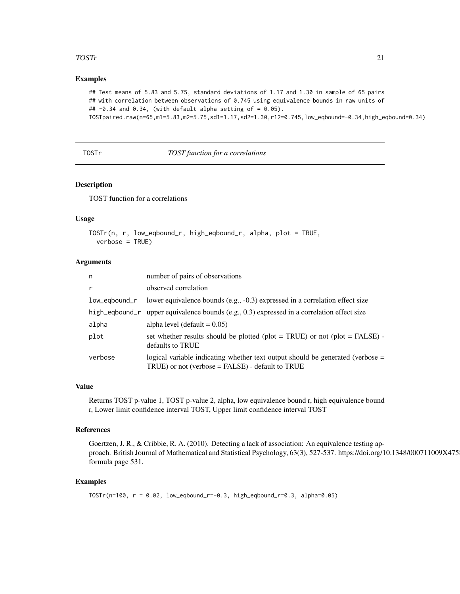# <span id="page-20-0"></span>TOSTr 21

# Examples

## Test means of 5.83 and 5.75, standard deviations of 1.17 and 1.30 in sample of 65 pairs ## with correlation between observations of 0.745 using equivalence bounds in raw units of ##  $-0.34$  and 0.34, (with default alpha setting of = 0.05).

TOSTpaired.raw(n=65,m1=5.83,m2=5.75,sd1=1.17,sd2=1.30,r12=0.745,low\_eqbound=-0.34,high\_eqbound=0.34)

TOSTr *TOST function for a correlations*

## Description

TOST function for a correlations

# Usage

```
TOSTr(n, r, low_eqbound_r, high_eqbound_r, alpha, plot = TRUE,
  verbose = TRUE)
```
### Arguments

| n             | number of pairs of observations                                                                                                         |
|---------------|-----------------------------------------------------------------------------------------------------------------------------------------|
| $\mathsf{r}$  | observed correlation                                                                                                                    |
| low_egbound_r | lower equivalence bounds (e.g., -0.3) expressed in a correlation effect size                                                            |
|               | high_eqbound_r upper equivalence bounds (e.g., 0.3) expressed in a correlation effect size                                              |
| alpha         | alpha level (default $= 0.05$ )                                                                                                         |
| plot          | set whether results should be plotted (plot = TRUE) or not (plot = FALSE) -<br>defaults to TRUE                                         |
| verbose       | logical variable indicating whether text output should be generated (verbose $=$<br>$TRUE$ ) or not (verbose = FALSE) - default to TRUE |

#### Value

Returns TOST p-value 1, TOST p-value 2, alpha, low equivalence bound r, high equivalence bound r, Lower limit confidence interval TOST, Upper limit confidence interval TOST

#### References

Goertzen, J. R., & Cribbie, R. A. (2010). Detecting a lack of association: An equivalence testing approach. British Journal of Mathematical and Statistical Psychology, 63(3), 527-537. https://doi.org/10.1348/000711009X475 formula page 531.

# Examples

```
TOSTr(n=100, r = 0.02, low_eqbound_r=-0.3, high_eqbound_r=0.3, alpha=0.05)
```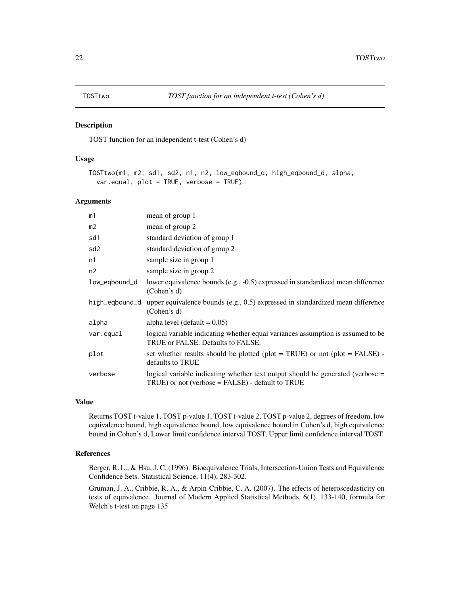<span id="page-21-0"></span>

#### Description

TOST function for an independent t-test (Cohen's d)

#### Usage

```
TOSTtwo(m1, m2, sd1, sd2, n1, n2, low_eqbound_d, high_eqbound_d, alpha,
  var.equal, plot = TRUE, verbose = TRUE)
```
#### **Arguments**

| m1              | mean of group 1                                                                                                                          |
|-----------------|------------------------------------------------------------------------------------------------------------------------------------------|
| m2              | mean of group 2                                                                                                                          |
| sd1             | standard deviation of group 1                                                                                                            |
| sd <sub>2</sub> | standard deviation of group 2                                                                                                            |
| n1              | sample size in group 1                                                                                                                   |
| n2              | sample size in group 2                                                                                                                   |
| low_eqbound_d   | lower equivalence bounds (e.g., -0.5) expressed in standardized mean difference<br>(Cohen's d)                                           |
| high_eqbound_d  | upper equivalence bounds (e.g., 0.5) expressed in standardized mean difference<br>(Cohen's d)                                            |
| alpha           | alpha level (default $= 0.05$ )                                                                                                          |
| var.equal       | logical variable indicating whether equal variances assumption is assumed to be<br>TRUE or FALSE. Defaults to FALSE.                     |
| plot            | set whether results should be plotted (plot = TRUE) or not (plot = FALSE) -<br>defaults to TRUE                                          |
| verbose         | logical variable indicating whether text output should be generated (verbose =<br>$TRUE$ ) or not (verbose = $FALSE$ ) - default to TRUE |

#### Value

Returns TOST t-value 1, TOST p-value 1, TOST t-value 2, TOST p-value 2, degrees of freedom, low equivalence bound, high equivalence bound, low equivalence bound in Cohen's d, high equivalence bound in Cohen's d, Lower limit confidence interval TOST, Upper limit confidence interval TOST

# References

Berger, R. L., & Hsu, J. C. (1996). Bioequivalence Trials, Intersection-Union Tests and Equivalence Confidence Sets. Statistical Science, 11(4), 283-302.

Gruman, J. A., Cribbie, R. A., & Arpin-Cribbie, C. A. (2007). The effects of heteroscedasticity on tests of equivalence. Journal of Modern Applied Statistical Methods, 6(1), 133-140, formula for Welch's t-test on page 135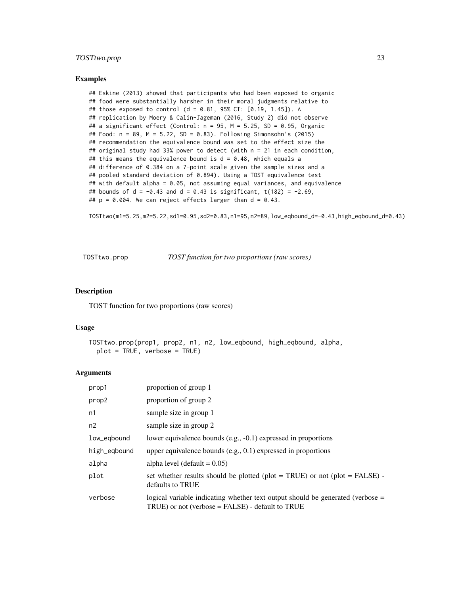# <span id="page-22-0"></span>TOSTtwo.prop 23

#### Examples

```
## Eskine (2013) showed that participants who had been exposed to organic
## food were substantially harsher in their moral judgments relative to
## those exposed to control (d = 0.81, 95% CI: [0.19, 1.45]). A
## replication by Moery & Calin-Jageman (2016, Study 2) did not observe
## a significant effect (Control: n = 95, M = 5.25, SD = 0.95, Organic
## Food: n = 89, M = 5.22, SD = 0.83). Following Simonsohn's (2015)
## recommendation the equivalence bound was set to the effect size the
## original study had 33% power to detect (with n = 21 in each condition,
## this means the equivalence bound is d = 0.48, which equals a
## difference of 0.384 on a 7-point scale given the sample sizes and a
## pooled standard deviation of 0.894). Using a TOST equivalence test
## with default alpha = 0.05, not assuming equal variances, and equivalence
## bounds of d = -0.43 and d = 0.43 is significant, t(182) = -2.69,
## p = 0.004. We can reject effects larger than d = 0.43.
```
TOSTtwo(m1=5.25,m2=5.22,sd1=0.95,sd2=0.83,n1=95,n2=89,low\_eqbound\_d=-0.43,high\_eqbound\_d=0.43)

TOSTtwo.prop *TOST function for two proportions (raw scores)*

#### Description

TOST function for two proportions (raw scores)

#### Usage

```
TOSTtwo.prop(prop1, prop2, n1, n2, low_eqbound, high_eqbound, alpha,
 plot = TRUE, verbose = TRUE)
```

| prop1        | proportion of group 1                                                                                                                   |
|--------------|-----------------------------------------------------------------------------------------------------------------------------------------|
| prop2        | proportion of group 2                                                                                                                   |
| n1           | sample size in group 1                                                                                                                  |
| n2           | sample size in group 2                                                                                                                  |
| low_egbound  | lower equivalence bounds (e.g., -0.1) expressed in proportions                                                                          |
| high_eqbound | upper equivalence bounds (e.g., $0.1$ ) expressed in proportions                                                                        |
| alpha        | alpha level (default $= 0.05$ )                                                                                                         |
| plot         | set whether results should be plotted (plot = TRUE) or not (plot = FALSE) -<br>defaults to TRUE                                         |
| verbose      | logical variable indicating whether text output should be generated (verbose $=$<br>$TRUE$ ) or not (verbose = FALSE) - default to TRUE |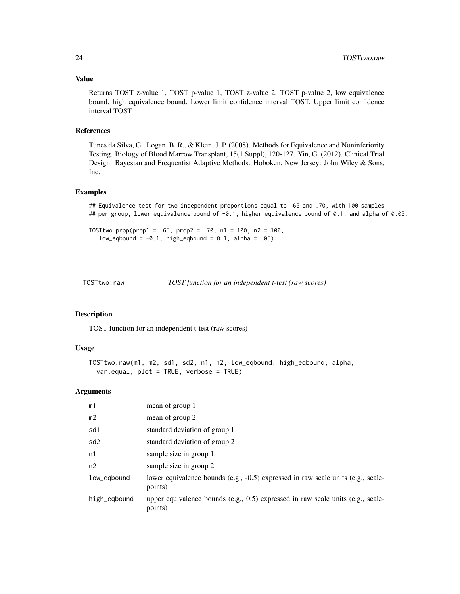# <span id="page-23-0"></span>Value

Returns TOST z-value 1, TOST p-value 1, TOST z-value 2, TOST p-value 2, low equivalence bound, high equivalence bound, Lower limit confidence interval TOST, Upper limit confidence interval TOST

#### References

Tunes da Silva, G., Logan, B. R., & Klein, J. P. (2008). Methods for Equivalence and Noninferiority Testing. Biology of Blood Marrow Transplant, 15(1 Suppl), 120-127. Yin, G. (2012). Clinical Trial Design: Bayesian and Frequentist Adaptive Methods. Hoboken, New Jersey: John Wiley & Sons, Inc.

#### Examples

## Equivalence test for two independent proportions equal to .65 and .70, with 100 samples ## per group, lower equivalence bound of -0.1, higher equivalence bound of 0.1, and alpha of 0.05.

TOSTtwo.prop(prop1 = .65, prop2 = .70, n1 = 100, n2 = 100, low\_eqbound =  $-0.1$ , high\_eqbound =  $0.1$ , alpha = .05)

TOSTtwo.raw *TOST function for an independent t-test (raw scores)*

## Description

TOST function for an independent t-test (raw scores)

#### Usage

```
TOSTtwo.raw(m1, m2, sd1, sd2, n1, n2, low_eqbound, high_eqbound, alpha,
  var.equal, plot = TRUE, verbose = TRUE)
```

| m1             | mean of group 1                                                                             |
|----------------|---------------------------------------------------------------------------------------------|
| m <sub>2</sub> | mean of group 2                                                                             |
| sd1            | standard deviation of group 1                                                               |
| sd2            | standard deviation of group 2                                                               |
| n1             | sample size in group 1                                                                      |
| n2             | sample size in group 2                                                                      |
| low_eqbound    | lower equivalence bounds (e.g., -0.5) expressed in raw scale units (e.g., scale-<br>points) |
| high_eqbound   | upper equivalence bounds (e.g., 0.5) expressed in raw scale units (e.g., scale-<br>points)  |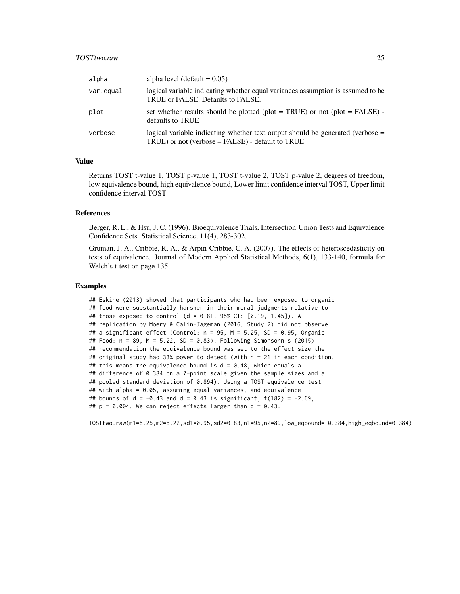# TOSTtwo.raw 25

| alpha     | alpha level (default $= 0.05$ )                                                                                                       |
|-----------|---------------------------------------------------------------------------------------------------------------------------------------|
| var.equal | logical variable indicating whether equal variances assumption is assumed to be<br>TRUE or FALSE. Defaults to FALSE.                  |
| plot      | set whether results should be plotted (plot = TRUE) or not (plot = FALSE) -<br>defaults to TRUE                                       |
| verbose   | logical variable indicating whether text output should be generated (verbose =<br>$TRUE$ ) or not (verbose = FALSE) - default to TRUE |

# Value

Returns TOST t-value 1, TOST p-value 1, TOST t-value 2, TOST p-value 2, degrees of freedom, low equivalence bound, high equivalence bound, Lower limit confidence interval TOST, Upper limit confidence interval TOST

#### References

Berger, R. L., & Hsu, J. C. (1996). Bioequivalence Trials, Intersection-Union Tests and Equivalence Confidence Sets. Statistical Science, 11(4), 283-302.

Gruman, J. A., Cribbie, R. A., & Arpin-Cribbie, C. A. (2007). The effects of heteroscedasticity on tests of equivalence. Journal of Modern Applied Statistical Methods, 6(1), 133-140, formula for Welch's t-test on page 135

#### Examples

## Eskine (2013) showed that participants who had been exposed to organic ## food were substantially harsher in their moral judgments relative to ## those exposed to control (d = 0.81, 95% CI: [0.19, 1.45]). A ## replication by Moery & Calin-Jageman (2016, Study 2) did not observe ## a significant effect (Control: n = 95, M = 5.25, SD = 0.95, Organic ## Food: n = 89, M = 5.22, SD = 0.83). Following Simonsohn's (2015) ## recommendation the equivalence bound was set to the effect size the ## original study had 33% power to detect (with n = 21 in each condition, ## this means the equivalence bound is  $d = 0.48$ , which equals a ## difference of 0.384 on a 7-point scale given the sample sizes and a ## pooled standard deviation of 0.894). Using a TOST equivalence test ## with alpha = 0.05, assuming equal variances, and equivalence ## bounds of d =  $-0.43$  and d = 0.43 is significant, t(182) =  $-2.69$ , ##  $p = 0.004$ . We can reject effects larger than  $d = 0.43$ .

TOSTtwo.raw(m1=5.25,m2=5.22,sd1=0.95,sd2=0.83,n1=95,n2=89,low\_eqbound=-0.384,high\_eqbound=0.384)